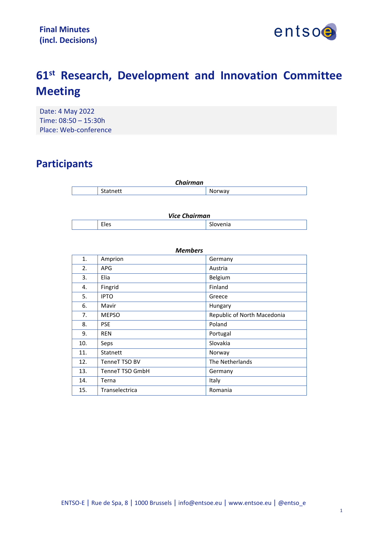

# **61st Research, Development and Innovation Committee Meeting**

Date: 4 May 2022 Time: 08:50 – 15:30h Place: Web-conference

## **Participants**

| <b>Chairman</b> |                 |                  |
|-----------------|-----------------|------------------|
|                 | C+.<br>Stathett | . <b>.</b> orwav |

| <b>Vice Chairman</b> |      |                |
|----------------------|------|----------------|
|                      | Eles | $\sim$<br>enia |

| <b>Members</b> |                 |                             |
|----------------|-----------------|-----------------------------|
| 1.             | Amprion         | Germany                     |
| 2.             | <b>APG</b>      | Austria                     |
| 3.             | Elia            | Belgium                     |
| 4.             | Fingrid         | Finland                     |
| 5.             | <b>IPTO</b>     | Greece                      |
| 6.             | Mavir           | Hungary                     |
| 7.             | <b>MEPSO</b>    | Republic of North Macedonia |
| 8.             | <b>PSE</b>      | Poland                      |
| 9.             | <b>REN</b>      | Portugal                    |
| 10.            | Seps            | Slovakia                    |
| 11.            | Statnett        | Norway                      |
| 12.            | TenneT TSO BV   | The Netherlands             |
| 13.            | TenneT TSO GmbH | Germany                     |
| 14.            | Terna           | Italy                       |
| 15.            | Transelectrica  | Romania                     |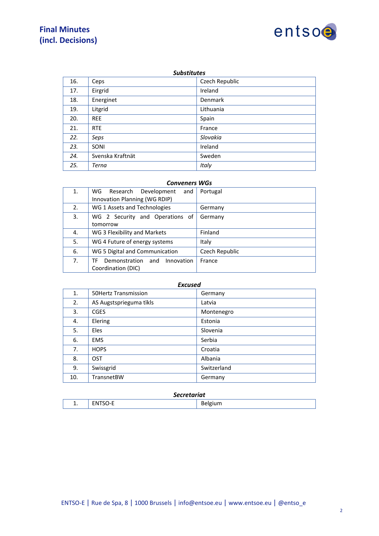## **Final Minutes (incl. Decisions)**



#### *Substitutes*

| 16. | Ceps             | Czech Republic |
|-----|------------------|----------------|
| 17. | Eirgrid          | Ireland        |
| 18. | Energinet        | <b>Denmark</b> |
| 19. | Litgrid          | Lithuania      |
| 20. | <b>REE</b>       | Spain          |
| 21. | <b>RTE</b>       | France         |
| 22. | Seps             | Slovakia       |
| 23. | SONI             | Ireland        |
| 24. | Svenska Kraftnät | Sweden         |
| 25. | Terna            | Italy          |

#### *Conveners WGs*

| 1. | WG<br>Research<br>Development<br>and     | Portugal       |
|----|------------------------------------------|----------------|
|    | Innovation Planning (WG RDIP)            |                |
| 2. | WG 1 Assets and Technologies             | Germany        |
| 3. | WG 2 Security and Operations of          | Germany        |
|    | tomorrow                                 |                |
| 4. | WG 3 Flexibility and Markets             | Finland        |
| 5. | WG 4 Future of energy systems            | Italy          |
| 6. | WG 5 Digital and Communication           | Czech Republic |
| 7. | Demonstration<br>Innovation<br>TF<br>and | France         |
|    | Coordination (DIC)                       |                |

#### *Excused*

| 1.  | <b>50Hertz Transmission</b> | Germany     |
|-----|-----------------------------|-------------|
| 2.  | AS Augstsprieguma tïkls     | Latvia      |
| 3.  | <b>CGES</b>                 | Montenegro  |
| 4.  | Elering                     | Estonia     |
| 5.  | Eles                        | Slovenia    |
| 6.  | <b>EMS</b>                  | Serbia      |
| 7.  | <b>HOPS</b>                 | Croatia     |
| 8.  | OST                         | Albania     |
| 9.  | Swissgrid                   | Switzerland |
| 10. | TransnetBW                  | Germany     |

#### *Secretariat*

| - -<br><br>. .<br>______<br>$\sim$ $\sim$<br>$\sim$<br>and the state of the |  | --<br>$ -$ | -<br>$ -$ |
|-----------------------------------------------------------------------------|--|------------|-----------|
|-----------------------------------------------------------------------------|--|------------|-----------|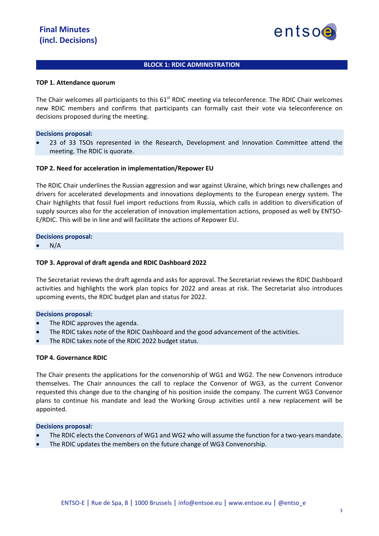

#### **BLOCK 1: RDIC ADMINISTRATION**

#### **TOP 1. Attendance quorum**

The Chair welcomes all participants to this  $61<sup>st</sup>$  RDIC meeting via teleconference. The RDIC Chair welcomes new RDIC members and confirms that participants can formally cast their vote via teleconference on decisions proposed during the meeting.

#### **Decisions proposal:**

• 23 of 33 TSOs represented in the Research, Development and Innovation Committee attend the meeting. The RDIC is quorate.

#### **TOP 2. Need for acceleration in implementation/Repower EU**

The RDIC Chair underlines the Russian aggression and war against Ukraine, which brings new challenges and drivers for accelerated developments and innovations deployments to the European energy system. The Chair highlights that fossil fuel import reductions from Russia, which calls in addition to diversification of supply sources also for the acceleration of innovation implementation actions, proposed as well by ENTSO-E/RDIC. This will be in line and will facilitate the actions of Repower EU.

**Decisions proposal:**

 $N/A$ 

#### **TOP 3. Approval of draft agenda and RDIC Dashboard 2022**

The Secretariat reviews the draft agenda and asks for approval. The Secretariat reviews the RDIC Dashboard activities and highlights the work plan topics for 2022 and areas at risk. The Secretariat also introduces upcoming events, the RDIC budget plan and status for 2022.

#### **Decisions proposal:**

- The RDIC approves the agenda.
- The RDIC takes note of the RDIC Dashboard and the good advancement of the activities.
- The RDIC takes note of the RDIC 2022 budget status.

#### **TOP 4. Governance RDIC**

The Chair presents the applications for the convenorship of WG1 and WG2. The new Convenors introduce themselves. The Chair announces the call to replace the Convenor of WG3, as the current Convenor requested this change due to the changing of his position inside the company. The current WG3 Convenor plans to continue his mandate and lead the Working Group activities until a new replacement will be appointed.

#### **Decisions proposal:**

- The RDIC elects the Convenors of WG1 and WG2 who will assume the function for a two-years mandate.
- The RDIC updates the members on the future change of WG3 Convenorship.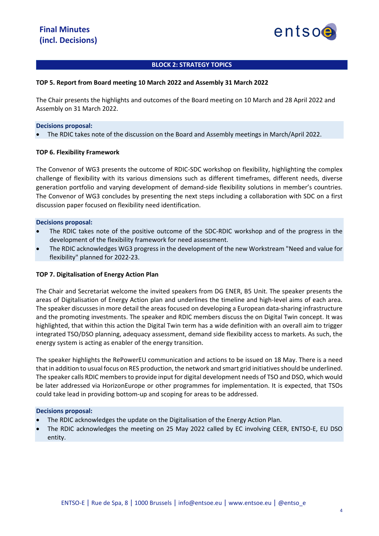

#### **BLOCK 2: STRATEGY TOPICS**

#### **TOP 5. Report from Board meeting 10 March 2022 and Assembly 31 March 2022**

The Chair presents the highlights and outcomes of the Board meeting on 10 March and 28 April 2022 and Assembly on 31 March 2022.

#### **Decisions proposal:**

• The RDIC takes note of the discussion on the Board and Assembly meetings in March/April 2022.

#### **TOP 6. Flexibility Framework**

The Convenor of WG3 presents the outcome of RDIC-SDC workshop on flexibility, highlighting the complex challenge of flexibility with its various dimensions such as different timeframes, different needs, diverse generation portfolio and varying development of demand-side flexibility solutions in member's countries. The Convenor of WG3 concludes by presenting the next steps including a collaboration with SDC on a first discussion paper focused on flexibility need identification.

#### **Decisions proposal:**

- The RDIC takes note of the positive outcome of the SDC-RDIC workshop and of the progress in the development of the flexibility framework for need assessment.
- The RDIC acknowledges WG3 progress in the development of the new Workstream "Need and value for flexibility" planned for 2022-23.

#### **TOP 7. Digitalisation of Energy Action Plan**

The Chair and Secretariat welcome the invited speakers from DG ENER, B5 Unit. The speaker presents the areas of Digitalisation of Energy Action plan and underlines the timeline and high-level aims of each area. The speaker discusses in more detail the areas focused on developing a European data-sharing infrastructure and the promoting investments. The speaker and RDIC members discuss the on Digital Twin concept. It was highlighted, that within this action the Digital Twin term has a wide definition with an overall aim to trigger integrated TSO/DSO planning, adequacy assessment, demand side flexibility access to markets. As such, the energy system is acting as enabler of the energy transition.

The speaker highlights the RePowerEU communication and actions to be issued on 18 May. There is a need that in addition to usual focus on RES production, the network and smart grid initiatives should be underlined. The speaker calls RDIC members to provide input for digital development needs of TSO and DSO, which would be later addressed via HorizonEurope or other programmes for implementation. It is expected, that TSOs could take lead in providing bottom-up and scoping for areas to be addressed.

#### **Decisions proposal:**

- The RDIC acknowledges the update on the Digitalisation of the Energy Action Plan.
- The RDIC acknowledges the meeting on 25 May 2022 called by EC involving CEER, ENTSO-E, EU DSO entity.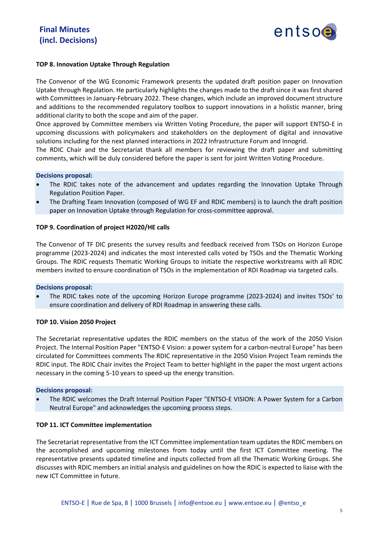

#### **TOP 8. Innovation Uptake Through Regulation**

The Convenor of the WG Economic Framework presents the updated draft position paper on Innovation Uptake through Regulation. He particularly highlights the changes made to the draft since it was first shared with Committees in January-February 2022. These changes, which include an improved document structure and additions to the recommended regulatory toolbox to support innovations in a holistic manner, bring additional clarity to both the scope and aim of the paper.

Once approved by Committee members via Written Voting Procedure, the paper will support ENTSO-E in upcoming discussions with policymakers and stakeholders on the deployment of digital and innovative solutions including for the next planned interactions in 2022 Infrastructure Forum and Innogrid.

The RDIC Chair and the Secretariat thank all members for reviewing the draft paper and submitting comments, which will be duly considered before the paper is sent for joint Written Voting Procedure.

#### **Decisions proposal:**

- The RDIC takes note of the advancement and updates regarding the Innovation Uptake Through Regulation Position Paper.
- The Drafting Team Innovation (composed of WG EF and RDIC members) is to launch the draft position paper on Innovation Uptake through Regulation for cross-committee approval.

#### **TOP 9. Coordination of project H2020/HE calls**

The Convenor of TF DIC presents the survey results and feedback received from TSOs on Horizon Europe programme (2023-2024) and indicates the most interested calls voted by TSOs and the Thematic Working Groups. The RDIC requests Thematic Working Groups to initiate the respective workstreams with all RDIC members invited to ensure coordination of TSOs in the implementation of RDI Roadmap via targeted calls.

#### **Decisions proposal:**

• The RDIC takes note of the upcoming Horizon Europe programme (2023-2024) and invites TSOs' to ensure coordination and delivery of RDI Roadmap in answering these calls.

#### **TOP 10. Vision 2050 Project**

The Secretariat representative updates the RDIC members on the status of the work of the 2050 Vision Project. The Internal Position Paper "ENTSO-E Vision: a power system for a carbon-neutral Europe" has been circulated for Committees comments The RDIC representative in the 2050 Vision Project Team reminds the RDIC input. The RDIC Chair invites the Project Team to better highlight in the paper the most urgent actions necessary in the coming 5-10 years to speed-up the energy transition.

#### **Decisions proposal:**

• The RDIC welcomes the Draft Internal Position Paper "ENTSO-E VISION: A Power System for a Carbon Neutral Europe" and acknowledges the upcoming process steps.

#### **TOP 11. ICT Committee implementation**

The Secretariat representative from the ICT Committee implementation team updates the RDIC members on the accomplished and upcoming milestones from today until the first ICT Committee meeting. The representative presents updated timeline and inputs collected from all the Thematic Working Groups. She discusses with RDIC members an initial analysis and guidelines on how the RDIC is expected to liaise with the new ICT Committee in future.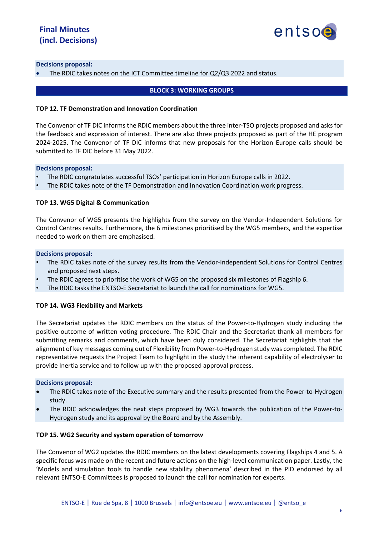

#### **Decisions proposal:**

• The RDIC takes notes on the ICT Committee timeline for Q2/Q3 2022 and status.

#### **BLOCK 3: WORKING GROUPS**

#### **TOP 12. TF Demonstration and Innovation Coordination**

The Convenor of TF DIC informs the RDIC members about the three inter-TSO projects proposed and asks for the feedback and expression of interest. There are also three projects proposed as part of the HE program 2024-2025. The Convenor of TF DIC informs that new proposals for the Horizon Europe calls should be submitted to TF DIC before 31 May 2022.

#### **Decisions proposal:**

- The RDIC congratulates successful TSOs' participation in Horizon Europe calls in 2022.
- The RDIC takes note of the TF Demonstration and Innovation Coordination work progress.

#### **TOP 13. WG5 Digital & Communication**

The Convenor of WG5 presents the highlights from the survey on the Vendor-Independent Solutions for Control Centres results. Furthermore, the 6 milestones prioritised by the WG5 members, and the expertise needed to work on them are emphasised.

#### **Decisions proposal:**

- The RDIC takes note of the survey results from the Vendor-Independent Solutions for Control Centres and proposed next steps.
- The RDIC agrees to prioritise the work of WG5 on the proposed six milestones of Flagship 6.
- The RDIC tasks the ENTSO-E Secretariat to launch the call for nominations for WG5.

#### **TOP 14. WG3 Flexibility and Markets**

The Secretariat updates the RDIC members on the status of the Power-to-Hydrogen study including the positive outcome of written voting procedure. The RDIC Chair and the Secretariat thank all members for submitting remarks and comments, which have been duly considered. The Secretariat highlights that the alignment of key messages coming out of Flexibility from Power-to-Hydrogen study was completed. The RDIC representative requests the Project Team to highlight in the study the inherent capability of electrolyser to provide Inertia service and to follow up with the proposed approval process.

#### **Decisions proposal:**

- The RDIC takes note of the Executive summary and the results presented from the Power-to-Hydrogen study.
- The RDIC acknowledges the next steps proposed by WG3 towards the publication of the Power-to-Hydrogen study and its approval by the Board and by the Assembly.

#### **TOP 15. WG2 Security and system operation of tomorrow**

The Convenor of WG2 updates the RDIC members on the latest developments covering Flagships 4 and 5. A specific focus was made on the recent and future actions on the high-level communication paper. Lastly, the 'Models and simulation tools to handle new stability phenomena' described in the PID endorsed by all relevant ENTSO-E Committees is proposed to launch the call for nomination for experts.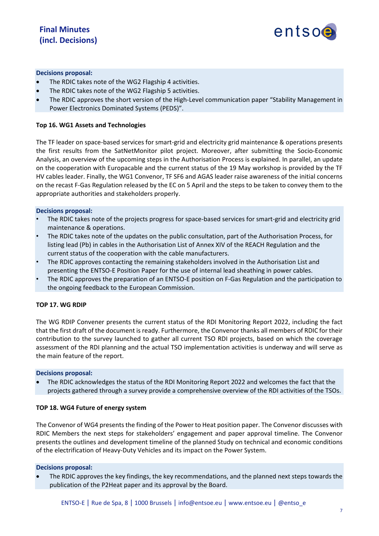

#### **Decisions proposal:**

- The RDIC takes note of the WG2 Flagship 4 activities.
- The RDIC takes note of the WG2 Flagship 5 activities.
- The RDIC approves the short version of the High-Level communication paper "Stability Management in Power Electronics Dominated Systems (PEDS)".

#### **Top 16. WG1 Assets and Technologies**

The TF leader on space-based services for smart-grid and electricity grid maintenance & operations presents the first results from the SatNetMonitor pilot project. Moreover, after submitting the Socio-Economic Analysis, an overview of the upcoming steps in the Authorisation Process is explained. In parallel, an update on the cooperation with Europacable and the current status of the 19 May workshop is provided by the TF HV cables leader. Finally, the WG1 Convenor, TF SF6 and AGAS leader raise awareness of the initial concerns on the recast F-Gas Regulation released by the EC on 5 April and the steps to be taken to convey them to the appropriate authorities and stakeholders properly.

#### **Decisions proposal:**

- The RDIC takes note of the projects progress for space-based services for smart-grid and electricity grid maintenance & operations.
- The RDIC takes note of the updates on the public consultation, part of the Authorisation Process, for listing lead (Pb) in cables in the Authorisation List of Annex XIV of the REACH Regulation and the current status of the cooperation with the cable manufacturers.
- The RDIC approves contacting the remaining stakeholders involved in the Authorisation List and presenting the ENTSO-E Position Paper for the use of internal lead sheathing in power cables.
- The RDIC approves the preparation of an ENTSO-E position on F-Gas Regulation and the participation to the ongoing feedback to the European Commission.

#### **TOP 17. WG RDIP**

The WG RDIP Convener presents the current status of the RDI Monitoring Report 2022, including the fact that the first draft of the document is ready. Furthermore, the Convenor thanks all members of RDIC for their contribution to the survey launched to gather all current TSO RDI projects, based on which the coverage assessment of the RDI planning and the actual TSO implementation activities is underway and will serve as the main feature of the report.

#### **Decisions proposal:**

• The RDIC acknowledges the status of the RDI Monitoring Report 2022 and welcomes the fact that the projects gathered through a survey provide a comprehensive overview of the RDI activities of the TSOs.

#### **TOP 18. WG4 Future of energy system**

The Convenor of WG4 presents the finding of the Power to Heat position paper. The Convenor discusses with RDIC Members the next steps for stakeholders' engagement and paper approval timeline. The Convenor presents the outlines and development timeline of the planned Study on technical and economic conditions of the electrification of Heavy-Duty Vehicles and its impact on the Power System.

#### **Decisions proposal:**

• The RDIC approves the key findings, the key recommendations, and the planned next steps towards the publication of the P2Heat paper and its approval by the Board.